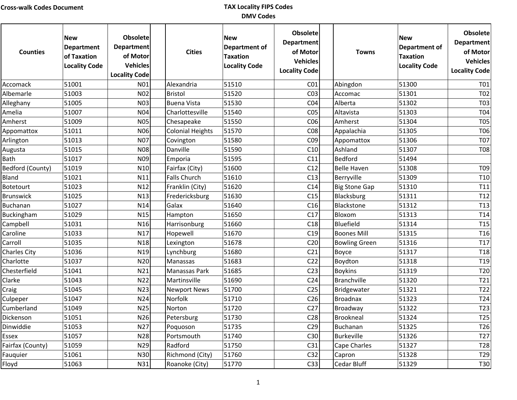| <b>Counties</b>  | <b>New</b><br><b>Department</b><br>of Taxation<br><b>Locality Code</b> | <b>Obsolete</b><br><b>Department</b><br>of Motor<br><b>Vehicles</b><br><b>Locality Code</b> | <b>Cities</b>           | <b>New</b><br>Department of<br><b>Taxation</b><br><b>Locality Code</b> | <b>Obsolete</b><br><b>Department</b><br>of Motor<br><b>Vehicles</b><br><b>Locality Code</b> | <b>Towns</b>         | <b>New</b><br><b>Department of</b><br><b>Taxation</b><br><b>Locality Code</b> | <b>Obsolete</b><br><b>Department</b><br>of Motor<br><b>Vehicles</b><br><b>Locality Code</b> |
|------------------|------------------------------------------------------------------------|---------------------------------------------------------------------------------------------|-------------------------|------------------------------------------------------------------------|---------------------------------------------------------------------------------------------|----------------------|-------------------------------------------------------------------------------|---------------------------------------------------------------------------------------------|
| Accomack         | 51001                                                                  | N01                                                                                         | Alexandria              | 51510                                                                  | CO <sub>1</sub>                                                                             | Abingdon             | 51300                                                                         | T01                                                                                         |
| Albemarle        | 51003                                                                  | N <sub>0</sub> 2                                                                            | Bristol                 | 51520                                                                  | CO <sub>3</sub>                                                                             | Accomac              | 51301                                                                         | <b>T02</b>                                                                                  |
| Alleghany        | 51005                                                                  | N <sub>0</sub> 3                                                                            | <b>Buena Vista</b>      | 51530                                                                  | CO <sub>4</sub>                                                                             | Alberta              | 51302                                                                         | T <sub>03</sub>                                                                             |
| Amelia           | 51007                                                                  | N <sub>04</sub>                                                                             | Charlottesville         | 51540                                                                  | CO <sub>5</sub>                                                                             | Altavista            | 51303                                                                         | <b>T04</b>                                                                                  |
| Amherst          | 51009                                                                  | <b>N05</b>                                                                                  | Chesapeake              | 51550                                                                  | CO6                                                                                         | Amherst              | 51304                                                                         | <b>T05</b>                                                                                  |
| Appomattox       | 51011                                                                  | N06                                                                                         | <b>Colonial Heights</b> | 51570                                                                  | CO8                                                                                         | Appalachia           | 51305                                                                         | <b>T06</b>                                                                                  |
| Arlington        | 51013                                                                  | N <sub>07</sub>                                                                             | Covington               | 51580                                                                  | CO9                                                                                         | Appomattox           | 51306                                                                         | <b>T07</b>                                                                                  |
| Augusta          | 51015                                                                  | <b>N08</b>                                                                                  | Danville                | 51590                                                                  | C10                                                                                         | Ashland              | 51307                                                                         | <b>T08</b>                                                                                  |
| Bath             | 51017                                                                  | N <sub>09</sub>                                                                             | Emporia                 | 51595                                                                  | C11                                                                                         | Bedford              | 51494                                                                         |                                                                                             |
| Bedford (County) | 51019                                                                  | N10                                                                                         | Fairfax (City)          | 51600                                                                  | C12                                                                                         | <b>Belle Haven</b>   | 51308                                                                         | T09                                                                                         |
| Bland            | 51021                                                                  | N11                                                                                         | Falls Church            | 51610                                                                  | C13                                                                                         | Berryville           | 51309                                                                         | T <sub>10</sub>                                                                             |
| Botetourt        | 51023                                                                  | N12                                                                                         | Franklin (City)         | 51620                                                                  | C14                                                                                         | <b>Big Stone Gap</b> | 51310                                                                         | T11                                                                                         |
| Brunswick        | 51025                                                                  | N13                                                                                         | Fredericksburg          | 51630                                                                  | C15                                                                                         | Blacksburg           | 51311                                                                         | T <sub>12</sub>                                                                             |
| Buchanan         | 51027                                                                  | N14                                                                                         | Galax                   | 51640                                                                  | C16                                                                                         | Blackstone           | 51312                                                                         | T <sub>13</sub>                                                                             |
| Buckingham       | 51029                                                                  | N <sub>15</sub>                                                                             | Hampton                 | 51650                                                                  | C17                                                                                         | Bloxom               | 51313                                                                         | T14                                                                                         |
| Campbell         | 51031                                                                  | N <sub>16</sub>                                                                             | Harrisonburg            | 51660                                                                  | C18                                                                                         | Bluefield            | 51314                                                                         | T <sub>15</sub>                                                                             |
| Caroline         | 51033                                                                  | N17                                                                                         | Hopewell                | 51670                                                                  | C19                                                                                         | <b>Boones Mill</b>   | 51315                                                                         | T <sub>16</sub>                                                                             |
| Carroll          | 51035                                                                  | N <sub>18</sub>                                                                             | Lexington               | 51678                                                                  | C <sub>20</sub>                                                                             | <b>Bowling Green</b> | 51316                                                                         | T17                                                                                         |
| Charles City     | 51036                                                                  | N <sub>19</sub>                                                                             | Lynchburg               | 51680                                                                  | C <sub>21</sub>                                                                             | Boyce                | 51317                                                                         | T <sub>18</sub>                                                                             |
| Charlotte        | 51037                                                                  | N20                                                                                         | Manassas                | 51683                                                                  | C <sub>22</sub>                                                                             | Boydton              | 51318                                                                         | T19                                                                                         |
| Chesterfield     | 51041                                                                  | N21                                                                                         | Manassas Park           | 51685                                                                  | C <sub>23</sub>                                                                             | <b>Boykins</b>       | 51319                                                                         | T <sub>20</sub>                                                                             |
| Clarke           | 51043                                                                  | N22                                                                                         | Martinsville            | 51690                                                                  | C <sub>24</sub>                                                                             | Branchville          | 51320                                                                         | T21                                                                                         |
| Craig            | 51045                                                                  | N23                                                                                         | <b>Newport News</b>     | 51700                                                                  | C <sub>25</sub>                                                                             | Bridgewater          | 51321                                                                         | T <sub>22</sub>                                                                             |
| Culpeper         | 51047                                                                  | N24                                                                                         | Norfolk                 | 51710                                                                  | C <sub>26</sub>                                                                             | <b>Broadnax</b>      | 51323                                                                         | T24                                                                                         |
| Cumberland       | 51049                                                                  | N25                                                                                         | Norton                  | 51720                                                                  | C <sub>27</sub>                                                                             | Broadway             | 51322                                                                         | T23                                                                                         |
| Dickenson        | 51051                                                                  | N26                                                                                         | Petersburg              | 51730                                                                  | C <sub>28</sub>                                                                             | Brookneal            | 51324                                                                         | T25                                                                                         |
| Dinwiddie        | 51053                                                                  | N27                                                                                         | Poquoson                | 51735                                                                  | C29                                                                                         | Buchanan             | 51325                                                                         | T <sub>26</sub>                                                                             |
| Essex            | 51057                                                                  | N28                                                                                         | Portsmouth              | 51740                                                                  | C30                                                                                         | Burkeville           | 51326                                                                         | T <sub>27</sub>                                                                             |
| Fairfax (County) | 51059                                                                  | N29                                                                                         | Radford                 | 51750                                                                  | C31                                                                                         | Cape Charles         | 51327                                                                         | <b>T28</b>                                                                                  |
| Fauquier         | 51061                                                                  | N30                                                                                         | Richmond (City)         | 51760                                                                  | C <sub>32</sub>                                                                             | Capron               | 51328                                                                         | T <sub>29</sub>                                                                             |
| Floyd            | 51063                                                                  | N31                                                                                         | Roanoke (City)          | 51770                                                                  | C <sub>33</sub>                                                                             | Cedar Bluff          | 51329                                                                         | T30                                                                                         |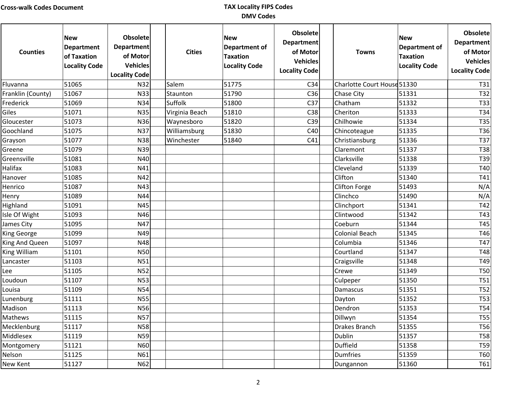| <b>Counties</b>   | <b>New</b><br><b>Department</b><br>of Taxation<br><b>Locality Code</b> | <b>Obsolete</b><br><b>Department</b><br>of Motor<br><b>Vehicles</b><br><b>Locality Code</b> | <b>Cities</b>  | <b>New</b><br>Department of<br><b>Taxation</b><br><b>Locality Code</b> | <b>Obsolete</b><br><b>Department</b><br>of Motor<br><b>Vehicles</b><br><b>Locality Code</b> | <b>Towns</b>                | <b>New</b><br>Department of<br><b>Taxation</b><br><b>Locality Code</b> | <b>Obsolete</b><br><b>Department</b><br>of Motor<br>Vehicles<br><b>Locality Code</b> |
|-------------------|------------------------------------------------------------------------|---------------------------------------------------------------------------------------------|----------------|------------------------------------------------------------------------|---------------------------------------------------------------------------------------------|-----------------------------|------------------------------------------------------------------------|--------------------------------------------------------------------------------------|
| Fluvanna          | 51065                                                                  | N32                                                                                         | Salem          | 51775                                                                  | C <sub>34</sub>                                                                             | Charlotte Court House 51330 |                                                                        | T31                                                                                  |
| Franklin (County) | 51067                                                                  | N33                                                                                         | Staunton       | 51790                                                                  | C <sub>36</sub>                                                                             | Chase City                  | 51331                                                                  | T32                                                                                  |
| Frederick         | 51069                                                                  | N34                                                                                         | Suffolk        | 51800                                                                  | C <sub>37</sub>                                                                             | Chatham                     | 51332                                                                  | <b>T33</b>                                                                           |
| Giles             | 51071                                                                  | <b>N35</b>                                                                                  | Virginia Beach | 51810                                                                  | C38                                                                                         | Cheriton                    | 51333                                                                  | T34                                                                                  |
| Gloucester        | 51073                                                                  | N36                                                                                         | Waynesboro     | 51820                                                                  | C39                                                                                         | Chilhowie                   | 51334                                                                  | T35                                                                                  |
| Goochland         | 51075                                                                  | N37                                                                                         | Williamsburg   | 51830                                                                  | C40                                                                                         | Chincoteague                | 51335                                                                  | T36                                                                                  |
| Grayson           | 51077                                                                  | N38                                                                                         | Winchester     | 51840                                                                  | C41                                                                                         | Christiansburg              | 51336                                                                  | T37                                                                                  |
| Greene            | 51079                                                                  | N39                                                                                         |                |                                                                        |                                                                                             | Claremont                   | 51337                                                                  | <b>T38</b>                                                                           |
| Greensville       | 51081                                                                  | N40                                                                                         |                |                                                                        |                                                                                             | Clarksville                 | 51338                                                                  | T39                                                                                  |
| Halifax           | 51083                                                                  | N41                                                                                         |                |                                                                        |                                                                                             | Cleveland                   | 51339                                                                  | T40                                                                                  |
| Hanover           | 51085                                                                  | N42                                                                                         |                |                                                                        |                                                                                             | Clifton                     | 51340                                                                  | T41                                                                                  |
| Henrico           | 51087                                                                  | N43                                                                                         |                |                                                                        |                                                                                             | Clifton Forge               | 51493                                                                  | N/A                                                                                  |
| Henry             | 51089                                                                  | N44                                                                                         |                |                                                                        |                                                                                             | Clinchco                    | 51490                                                                  | N/A                                                                                  |
| Highland          | 51091                                                                  | N45                                                                                         |                |                                                                        |                                                                                             | Clinchport                  | 51341                                                                  | T42                                                                                  |
| Isle Of Wight     | 51093                                                                  | N46                                                                                         |                |                                                                        |                                                                                             | Clintwood                   | 51342                                                                  | T43                                                                                  |
| James City        | 51095                                                                  | N47                                                                                         |                |                                                                        |                                                                                             | Coeburn                     | 51344                                                                  | T45                                                                                  |
| King George       | 51099                                                                  | N49                                                                                         |                |                                                                        |                                                                                             | <b>Colonial Beach</b>       | 51345                                                                  | T46                                                                                  |
| King And Queen    | 51097                                                                  | N48                                                                                         |                |                                                                        |                                                                                             | Columbia                    | 51346                                                                  | T47                                                                                  |
| King William      | 51101                                                                  | <b>N50</b>                                                                                  |                |                                                                        |                                                                                             | Courtland                   | 51347                                                                  | T48                                                                                  |
| Lancaster         | 51103                                                                  | N51                                                                                         |                |                                                                        |                                                                                             | Craigsville                 | 51348                                                                  | T49                                                                                  |
| Lee               | 51105                                                                  | <b>N52</b>                                                                                  |                |                                                                        |                                                                                             | Crewe                       | 51349                                                                  | <b>T50</b>                                                                           |
| Loudoun           | 51107                                                                  | <b>N53</b>                                                                                  |                |                                                                        |                                                                                             | Culpeper                    | 51350                                                                  | <b>T51</b>                                                                           |
| Louisa            | 51109                                                                  | <b>N54</b>                                                                                  |                |                                                                        |                                                                                             | Damascus                    | 51351                                                                  | <b>T52</b>                                                                           |
| Lunenburg         | 51111                                                                  | <b>N55</b>                                                                                  |                |                                                                        |                                                                                             | Dayton                      | 51352                                                                  | <b>T53</b>                                                                           |
| Madison           | 51113                                                                  | N56                                                                                         |                |                                                                        |                                                                                             | Dendron                     | 51353                                                                  | <b>T54</b>                                                                           |
| Mathews           | 51115                                                                  | N57                                                                                         |                |                                                                        |                                                                                             | Dillwyn                     | 51354                                                                  | T55                                                                                  |
| Mecklenburg       | 51117                                                                  | <b>N58</b>                                                                                  |                |                                                                        |                                                                                             | Drakes Branch               | 51355                                                                  | <b>T56</b>                                                                           |
| Middlesex         | 51119                                                                  | N <sub>59</sub>                                                                             |                |                                                                        |                                                                                             | Dublin                      | 51357                                                                  | <b>T58</b>                                                                           |
| Montgomery        | 51121                                                                  | <b>N60</b>                                                                                  |                |                                                                        |                                                                                             | <b>Duffield</b>             | 51358                                                                  | T59                                                                                  |
| Nelson            | 51125                                                                  | N61                                                                                         |                |                                                                        |                                                                                             | <b>Dumfries</b>             | 51359                                                                  | <b>T60</b>                                                                           |
| New Kent          | 51127                                                                  | N62                                                                                         |                |                                                                        |                                                                                             | Dungannon                   | 51360                                                                  | T61                                                                                  |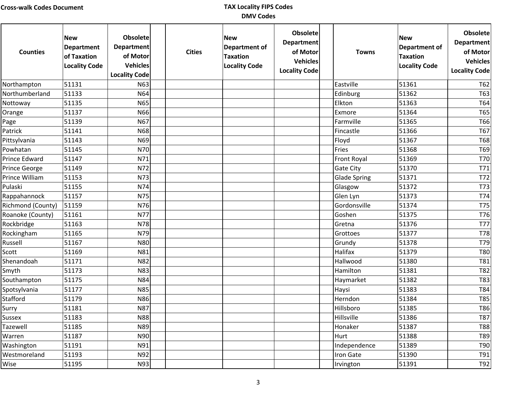| <b>Counties</b>   | <b>New</b><br><b>Department</b><br>of Taxation<br><b>Locality Code</b> | <b>Obsolete</b><br><b>Department</b><br>of Motor<br><b>Vehicles</b><br><b>Locality Code</b> | <b>Cities</b> | <b>New</b><br><b>Department of</b><br><b>Taxation</b><br><b>Locality Code</b> | Obsolete<br><b>Department</b><br>of Motor<br><b>Vehicles</b><br><b>Locality Code</b> | <b>Towns</b>        | <b>New</b><br>Department of<br><b>Taxation</b><br><b>Locality Code</b> | <b>Obsolete</b><br><b>Department</b><br>of Motor<br><b>Vehicles</b><br><b>Locality Code</b> |
|-------------------|------------------------------------------------------------------------|---------------------------------------------------------------------------------------------|---------------|-------------------------------------------------------------------------------|--------------------------------------------------------------------------------------|---------------------|------------------------------------------------------------------------|---------------------------------------------------------------------------------------------|
| Northampton       | 51131                                                                  | N63                                                                                         |               |                                                                               |                                                                                      | Eastville           | 51361                                                                  | T62                                                                                         |
| Northumberland    | 51133                                                                  | N64                                                                                         |               |                                                                               |                                                                                      | Edinburg            | 51362                                                                  | T63                                                                                         |
| Nottoway          | 51135                                                                  | N65                                                                                         |               |                                                                               |                                                                                      | Elkton              | 51363                                                                  | <b>T64</b>                                                                                  |
| Orange            | 51137                                                                  | N66                                                                                         |               |                                                                               |                                                                                      | Exmore              | 51364                                                                  | T65                                                                                         |
| Page              | 51139                                                                  | N67                                                                                         |               |                                                                               |                                                                                      | Farmville           | 51365                                                                  | T66                                                                                         |
| Patrick           | 51141                                                                  | <b>N68</b>                                                                                  |               |                                                                               |                                                                                      | Fincastle           | 51366                                                                  | T67                                                                                         |
| Pittsylvania      | 51143                                                                  | N69                                                                                         |               |                                                                               |                                                                                      | Floyd               | 51367                                                                  | <b>T68</b>                                                                                  |
| Powhatan          | 51145                                                                  | <b>N70</b>                                                                                  |               |                                                                               |                                                                                      | Fries               | 51368                                                                  | T69                                                                                         |
| Prince Edward     | 51147                                                                  | N71                                                                                         |               |                                                                               |                                                                                      | Front Royal         | 51369                                                                  | T70                                                                                         |
| Prince George     | 51149                                                                  | N72                                                                                         |               |                                                                               |                                                                                      | Gate City           | 51370                                                                  | T71                                                                                         |
| Prince William    | 51153                                                                  | N73                                                                                         |               |                                                                               |                                                                                      | <b>Glade Spring</b> | 51371                                                                  | T72                                                                                         |
| Pulaski           | 51155                                                                  | N74                                                                                         |               |                                                                               |                                                                                      | Glasgow             | 51372                                                                  | T73                                                                                         |
| Rappahannock      | 51157                                                                  | N75                                                                                         |               |                                                                               |                                                                                      | Glen Lyn            | 51373                                                                  | T74                                                                                         |
| Richmond (County) | 51159                                                                  | N76                                                                                         |               |                                                                               |                                                                                      | Gordonsville        | 51374                                                                  | <b>T75</b>                                                                                  |
| Roanoke (County)  | 51161                                                                  | N77                                                                                         |               |                                                                               |                                                                                      | Goshen              | 51375                                                                  | T76                                                                                         |
| Rockbridge        | 51163                                                                  | N78                                                                                         |               |                                                                               |                                                                                      | Gretna              | 51376                                                                  | T77                                                                                         |
| Rockingham        | 51165                                                                  | N79                                                                                         |               |                                                                               |                                                                                      | Grottoes            | 51377                                                                  | T78                                                                                         |
| Russell           | 51167                                                                  | <b>N80</b>                                                                                  |               |                                                                               |                                                                                      | Grundy              | 51378                                                                  | T79                                                                                         |
| Scott             | 51169                                                                  | N81                                                                                         |               |                                                                               |                                                                                      | Halifax             | 51379                                                                  | <b>T80</b>                                                                                  |
| Shenandoah        | 51171                                                                  | <b>N82</b>                                                                                  |               |                                                                               |                                                                                      | Hallwood            | 51380                                                                  | T81                                                                                         |
| Smyth             | 51173                                                                  | <b>N83</b>                                                                                  |               |                                                                               |                                                                                      | Hamilton            | 51381                                                                  | T82                                                                                         |
| Southampton       | 51175                                                                  | N84                                                                                         |               |                                                                               |                                                                                      | Haymarket           | 51382                                                                  | T83                                                                                         |
| Spotsylvania      | 51177                                                                  | <b>N85</b>                                                                                  |               |                                                                               |                                                                                      | Haysi               | 51383                                                                  | T84                                                                                         |
| Stafford          | 51179                                                                  | N86                                                                                         |               |                                                                               |                                                                                      | Herndon             | 51384                                                                  | T85                                                                                         |
| Surry             | 51181                                                                  | <b>N87</b>                                                                                  |               |                                                                               |                                                                                      | Hillsboro           | 51385                                                                  | T86                                                                                         |
| Sussex            | 51183                                                                  | <b>N88</b>                                                                                  |               |                                                                               |                                                                                      | Hillsville          | 51386                                                                  | T87                                                                                         |
| Tazewell          | 51185                                                                  | N89                                                                                         |               |                                                                               |                                                                                      | Honaker             | 51387                                                                  | <b>T88</b>                                                                                  |
| Warren            | 51187                                                                  | N90                                                                                         |               |                                                                               |                                                                                      | Hurt                | 51388                                                                  | T89                                                                                         |
| Washington        | 51191                                                                  | N91                                                                                         |               |                                                                               |                                                                                      | Independence        | 51389                                                                  | T90                                                                                         |
| Westmoreland      | 51193                                                                  | N92                                                                                         |               |                                                                               |                                                                                      | Iron Gate           | 51390                                                                  | T91                                                                                         |
| Wise              | 51195                                                                  | N93                                                                                         |               |                                                                               |                                                                                      | Irvington           | 51391                                                                  | T92                                                                                         |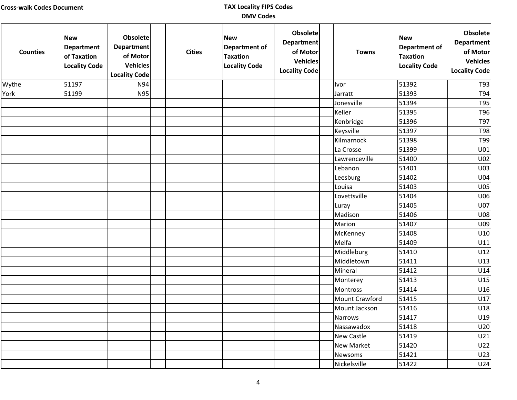| <b>Counties</b> | <b>New</b><br><b>Department</b><br>of Taxation<br><b>Locality Code</b> | <b>Obsolete</b><br><b>Department</b><br>of Motor<br>Vehicles<br><b>Locality Code</b> | <b>Cities</b> | <b>New</b><br><b>Department of</b><br><b>Taxation</b><br><b>Locality Code</b> | <b>Obsolete</b><br><b>Department</b><br>of Motor<br><b>Vehicles</b><br><b>Locality Code</b> | <b>Towns</b>   | <b>New</b><br><b>Department of</b><br><b>Taxation</b><br><b>Locality Code</b> | Obsolete<br><b>Department</b><br>of Motor<br><b>Vehicles</b><br><b>Locality Code</b> |
|-----------------|------------------------------------------------------------------------|--------------------------------------------------------------------------------------|---------------|-------------------------------------------------------------------------------|---------------------------------------------------------------------------------------------|----------------|-------------------------------------------------------------------------------|--------------------------------------------------------------------------------------|
| Wythe           | 51197                                                                  | N94                                                                                  |               |                                                                               |                                                                                             | Ivor           | 51392                                                                         | T93                                                                                  |
| York            | 51199                                                                  | <b>N95</b>                                                                           |               |                                                                               |                                                                                             | Jarratt        | 51393                                                                         | T94                                                                                  |
|                 |                                                                        |                                                                                      |               |                                                                               |                                                                                             | Jonesville     | 51394                                                                         | <b>T95</b>                                                                           |
|                 |                                                                        |                                                                                      |               |                                                                               |                                                                                             | Keller         | 51395                                                                         | T96                                                                                  |
|                 |                                                                        |                                                                                      |               |                                                                               |                                                                                             | Kenbridge      | 51396                                                                         | T97                                                                                  |
|                 |                                                                        |                                                                                      |               |                                                                               |                                                                                             | Keysville      | 51397                                                                         | <b>T98</b>                                                                           |
|                 |                                                                        |                                                                                      |               |                                                                               |                                                                                             | Kilmarnock     | 51398                                                                         | T99                                                                                  |
|                 |                                                                        |                                                                                      |               |                                                                               |                                                                                             | La Crosse      | 51399                                                                         | U01                                                                                  |
|                 |                                                                        |                                                                                      |               |                                                                               |                                                                                             | Lawrenceville  | 51400                                                                         | U02                                                                                  |
|                 |                                                                        |                                                                                      |               |                                                                               |                                                                                             | Lebanon        | 51401                                                                         | U03                                                                                  |
|                 |                                                                        |                                                                                      |               |                                                                               |                                                                                             | Leesburg       | 51402                                                                         | U04                                                                                  |
|                 |                                                                        |                                                                                      |               |                                                                               |                                                                                             | Louisa         | 51403                                                                         | <b>U05</b>                                                                           |
|                 |                                                                        |                                                                                      |               |                                                                               |                                                                                             | Lovettsville   | 51404                                                                         | U06                                                                                  |
|                 |                                                                        |                                                                                      |               |                                                                               |                                                                                             | Luray          | 51405                                                                         | U07                                                                                  |
|                 |                                                                        |                                                                                      |               |                                                                               |                                                                                             | Madison        | 51406                                                                         | <b>U08</b>                                                                           |
|                 |                                                                        |                                                                                      |               |                                                                               |                                                                                             | Marion         | 51407                                                                         | U09                                                                                  |
|                 |                                                                        |                                                                                      |               |                                                                               |                                                                                             | McKenney       | 51408                                                                         | U10                                                                                  |
|                 |                                                                        |                                                                                      |               |                                                                               |                                                                                             | Melfa          | 51409                                                                         | U11                                                                                  |
|                 |                                                                        |                                                                                      |               |                                                                               |                                                                                             | Middleburg     | 51410                                                                         | U12                                                                                  |
|                 |                                                                        |                                                                                      |               |                                                                               |                                                                                             | Middletown     | 51411                                                                         | U13                                                                                  |
|                 |                                                                        |                                                                                      |               |                                                                               |                                                                                             | Mineral        | 51412                                                                         | U14                                                                                  |
|                 |                                                                        |                                                                                      |               |                                                                               |                                                                                             | Monterey       | 51413                                                                         | U15                                                                                  |
|                 |                                                                        |                                                                                      |               |                                                                               |                                                                                             | Montross       | 51414                                                                         | U16                                                                                  |
|                 |                                                                        |                                                                                      |               |                                                                               |                                                                                             | Mount Crawford | 51415                                                                         | U17                                                                                  |
|                 |                                                                        |                                                                                      |               |                                                                               |                                                                                             | Mount Jackson  | 51416                                                                         | U18                                                                                  |
|                 |                                                                        |                                                                                      |               |                                                                               |                                                                                             | Narrows        | 51417                                                                         | U19                                                                                  |
|                 |                                                                        |                                                                                      |               |                                                                               |                                                                                             | Nassawadox     | 51418                                                                         | U20                                                                                  |
|                 |                                                                        |                                                                                      |               |                                                                               |                                                                                             | New Castle     | 51419                                                                         | U21                                                                                  |
|                 |                                                                        |                                                                                      |               |                                                                               |                                                                                             | New Market     | 51420                                                                         | U22                                                                                  |
|                 |                                                                        |                                                                                      |               |                                                                               |                                                                                             | Newsoms        | 51421                                                                         | U23                                                                                  |
|                 |                                                                        |                                                                                      |               |                                                                               |                                                                                             | Nickelsville   | 51422                                                                         | U24                                                                                  |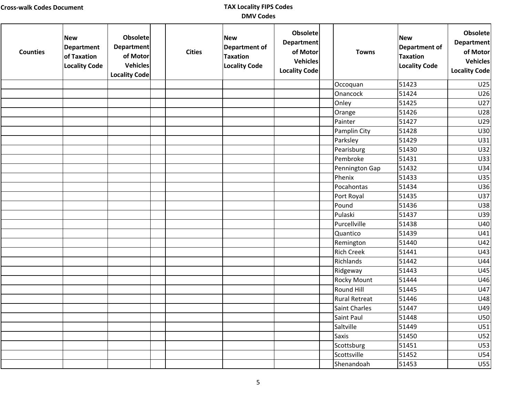| <b>Counties</b> | <b>New</b><br>Department<br>of Taxation<br><b>Locality Code</b> | <b>Obsolete</b><br><b>Department</b><br>of Motor<br><b>Vehicles</b><br><b>Locality Code</b> | <b>Cities</b> | <b>New</b><br>Department of<br><b>Taxation</b><br><b>Locality Code</b> | <b>Obsolete</b><br><b>Department</b><br>of Motor<br><b>Vehicles</b><br><b>Locality Code</b> | <b>Towns</b>         | <b>New</b><br><b>Department of</b><br><b>Taxation</b><br><b>Locality Code</b> | <b>Obsolete</b><br><b>Department</b><br>of Motor<br><b>Vehicles</b><br><b>Locality Code</b> |
|-----------------|-----------------------------------------------------------------|---------------------------------------------------------------------------------------------|---------------|------------------------------------------------------------------------|---------------------------------------------------------------------------------------------|----------------------|-------------------------------------------------------------------------------|---------------------------------------------------------------------------------------------|
|                 |                                                                 |                                                                                             |               |                                                                        |                                                                                             | Occoquan             | 51423                                                                         | U25                                                                                         |
|                 |                                                                 |                                                                                             |               |                                                                        |                                                                                             | Onancock             | 51424                                                                         | U26                                                                                         |
|                 |                                                                 |                                                                                             |               |                                                                        |                                                                                             | Onley                | 51425                                                                         | U27                                                                                         |
|                 |                                                                 |                                                                                             |               |                                                                        |                                                                                             | Orange               | 51426                                                                         | U28                                                                                         |
|                 |                                                                 |                                                                                             |               |                                                                        |                                                                                             | Painter              | 51427                                                                         | U29                                                                                         |
|                 |                                                                 |                                                                                             |               |                                                                        |                                                                                             | Pamplin City         | 51428                                                                         | U30                                                                                         |
|                 |                                                                 |                                                                                             |               |                                                                        |                                                                                             | Parksley             | 51429                                                                         | U31                                                                                         |
|                 |                                                                 |                                                                                             |               |                                                                        |                                                                                             | Pearisburg           | 51430                                                                         | U32                                                                                         |
|                 |                                                                 |                                                                                             |               |                                                                        |                                                                                             | Pembroke             | 51431                                                                         | U33                                                                                         |
|                 |                                                                 |                                                                                             |               |                                                                        |                                                                                             | Pennington Gap       | 51432                                                                         | U34                                                                                         |
|                 |                                                                 |                                                                                             |               |                                                                        |                                                                                             | Phenix               | 51433                                                                         | U35                                                                                         |
|                 |                                                                 |                                                                                             |               |                                                                        |                                                                                             | Pocahontas           | 51434                                                                         | U36                                                                                         |
|                 |                                                                 |                                                                                             |               |                                                                        |                                                                                             | Port Royal           | 51435                                                                         | U37                                                                                         |
|                 |                                                                 |                                                                                             |               |                                                                        |                                                                                             | Pound                | 51436                                                                         | U38                                                                                         |
|                 |                                                                 |                                                                                             |               |                                                                        |                                                                                             | Pulaski              | 51437                                                                         | U39                                                                                         |
|                 |                                                                 |                                                                                             |               |                                                                        |                                                                                             | Purcellville         | 51438                                                                         | U40                                                                                         |
|                 |                                                                 |                                                                                             |               |                                                                        |                                                                                             | Quantico             | 51439                                                                         | U41                                                                                         |
|                 |                                                                 |                                                                                             |               |                                                                        |                                                                                             | Remington            | 51440                                                                         | U42                                                                                         |
|                 |                                                                 |                                                                                             |               |                                                                        |                                                                                             | <b>Rich Creek</b>    | 51441                                                                         | U43                                                                                         |
|                 |                                                                 |                                                                                             |               |                                                                        |                                                                                             | Richlands            | 51442                                                                         | U44                                                                                         |
|                 |                                                                 |                                                                                             |               |                                                                        |                                                                                             | Ridgeway             | 51443                                                                         | U45                                                                                         |
|                 |                                                                 |                                                                                             |               |                                                                        |                                                                                             | <b>Rocky Mount</b>   | 51444                                                                         | U46                                                                                         |
|                 |                                                                 |                                                                                             |               |                                                                        |                                                                                             | Round Hill           | 51445                                                                         | U47                                                                                         |
|                 |                                                                 |                                                                                             |               |                                                                        |                                                                                             | <b>Rural Retreat</b> | 51446                                                                         | U48                                                                                         |
|                 |                                                                 |                                                                                             |               |                                                                        |                                                                                             | <b>Saint Charles</b> | 51447                                                                         | U49                                                                                         |
|                 |                                                                 |                                                                                             |               |                                                                        |                                                                                             | Saint Paul           | 51448                                                                         | U50                                                                                         |
|                 |                                                                 |                                                                                             |               |                                                                        |                                                                                             | Saltville            | 51449                                                                         | U51                                                                                         |
|                 |                                                                 |                                                                                             |               |                                                                        |                                                                                             | <b>Saxis</b>         | 51450                                                                         | U52                                                                                         |
|                 |                                                                 |                                                                                             |               |                                                                        |                                                                                             | Scottsburg           | 51451                                                                         | U53                                                                                         |
|                 |                                                                 |                                                                                             |               |                                                                        |                                                                                             | Scottsville          | 51452                                                                         | U54                                                                                         |
|                 |                                                                 |                                                                                             |               |                                                                        |                                                                                             | Shenandoah           | 51453                                                                         | U <sub>55</sub>                                                                             |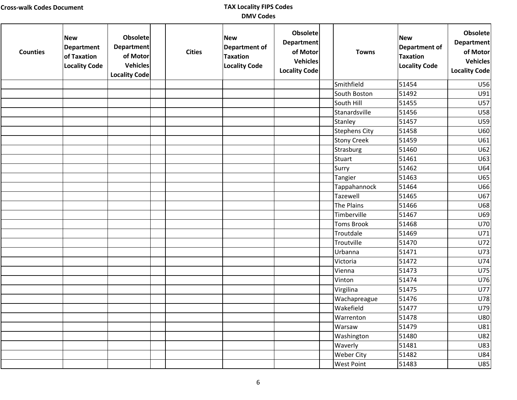| <b>Counties</b> | <b>New</b><br>Department<br>of Taxation<br><b>Locality Code</b> | <b>Obsolete</b><br><b>Department</b><br>of Motor<br><b>Vehicles</b><br><b>Locality Code</b> | <b>Cities</b> | <b>New</b><br>Department of<br><b>Taxation</b><br><b>Locality Code</b> | <b>Obsolete</b><br><b>Department</b><br>of Motor<br><b>Vehicles</b><br><b>Locality Code</b> | <b>Towns</b>         | <b>New</b><br><b>Department of</b><br><b>Taxation</b><br><b>Locality Code</b> | <b>Obsolete</b><br><b>Department</b><br>of Motor<br><b>Vehicles</b><br><b>Locality Code</b> |
|-----------------|-----------------------------------------------------------------|---------------------------------------------------------------------------------------------|---------------|------------------------------------------------------------------------|---------------------------------------------------------------------------------------------|----------------------|-------------------------------------------------------------------------------|---------------------------------------------------------------------------------------------|
|                 |                                                                 |                                                                                             |               |                                                                        |                                                                                             | Smithfield           | 51454                                                                         | U56                                                                                         |
|                 |                                                                 |                                                                                             |               |                                                                        |                                                                                             | South Boston         | 51492                                                                         | U91                                                                                         |
|                 |                                                                 |                                                                                             |               |                                                                        |                                                                                             | South Hill           | 51455                                                                         | U57                                                                                         |
|                 |                                                                 |                                                                                             |               |                                                                        |                                                                                             | Stanardsville        | 51456                                                                         | <b>U58</b>                                                                                  |
|                 |                                                                 |                                                                                             |               |                                                                        |                                                                                             | Stanley              | 51457                                                                         | U59                                                                                         |
|                 |                                                                 |                                                                                             |               |                                                                        |                                                                                             | <b>Stephens City</b> | 51458                                                                         | U60                                                                                         |
|                 |                                                                 |                                                                                             |               |                                                                        |                                                                                             | <b>Stony Creek</b>   | 51459                                                                         | U61                                                                                         |
|                 |                                                                 |                                                                                             |               |                                                                        |                                                                                             | Strasburg            | 51460                                                                         | U62                                                                                         |
|                 |                                                                 |                                                                                             |               |                                                                        |                                                                                             | Stuart               | 51461                                                                         | U63                                                                                         |
|                 |                                                                 |                                                                                             |               |                                                                        |                                                                                             | Surry                | 51462                                                                         | U64                                                                                         |
|                 |                                                                 |                                                                                             |               |                                                                        |                                                                                             | Tangier              | 51463                                                                         | U65                                                                                         |
|                 |                                                                 |                                                                                             |               |                                                                        |                                                                                             | Tappahannock         | 51464                                                                         | U66                                                                                         |
|                 |                                                                 |                                                                                             |               |                                                                        |                                                                                             | Tazewell             | 51465                                                                         | U67                                                                                         |
|                 |                                                                 |                                                                                             |               |                                                                        |                                                                                             | The Plains           | 51466                                                                         | U68                                                                                         |
|                 |                                                                 |                                                                                             |               |                                                                        |                                                                                             | Timberville          | 51467                                                                         | U69                                                                                         |
|                 |                                                                 |                                                                                             |               |                                                                        |                                                                                             | <b>Toms Brook</b>    | 51468                                                                         | U70                                                                                         |
|                 |                                                                 |                                                                                             |               |                                                                        |                                                                                             | Troutdale            | 51469                                                                         | U71                                                                                         |
|                 |                                                                 |                                                                                             |               |                                                                        |                                                                                             | Troutville           | 51470                                                                         | U72                                                                                         |
|                 |                                                                 |                                                                                             |               |                                                                        |                                                                                             | Urbanna              | 51471                                                                         | U73                                                                                         |
|                 |                                                                 |                                                                                             |               |                                                                        |                                                                                             | Victoria             | 51472                                                                         | U74                                                                                         |
|                 |                                                                 |                                                                                             |               |                                                                        |                                                                                             | Vienna               | 51473                                                                         | U75                                                                                         |
|                 |                                                                 |                                                                                             |               |                                                                        |                                                                                             | Vinton               | 51474                                                                         | U76                                                                                         |
|                 |                                                                 |                                                                                             |               |                                                                        |                                                                                             | Virgilina            | 51475                                                                         | U77                                                                                         |
|                 |                                                                 |                                                                                             |               |                                                                        |                                                                                             | Wachapreague         | 51476                                                                         | U78                                                                                         |
|                 |                                                                 |                                                                                             |               |                                                                        |                                                                                             | Wakefield            | 51477                                                                         | U79                                                                                         |
|                 |                                                                 |                                                                                             |               |                                                                        |                                                                                             | Warrenton            | 51478                                                                         | U80                                                                                         |
|                 |                                                                 |                                                                                             |               |                                                                        |                                                                                             | Warsaw               | 51479                                                                         | U81                                                                                         |
|                 |                                                                 |                                                                                             |               |                                                                        |                                                                                             | Washington           | 51480                                                                         | <b>U82</b>                                                                                  |
|                 |                                                                 |                                                                                             |               |                                                                        |                                                                                             | Waverly              | 51481                                                                         | U83                                                                                         |
|                 |                                                                 |                                                                                             |               |                                                                        |                                                                                             | Weber City           | 51482                                                                         | <b>U84</b>                                                                                  |
|                 |                                                                 |                                                                                             |               |                                                                        |                                                                                             | West Point           | 51483                                                                         | U85                                                                                         |